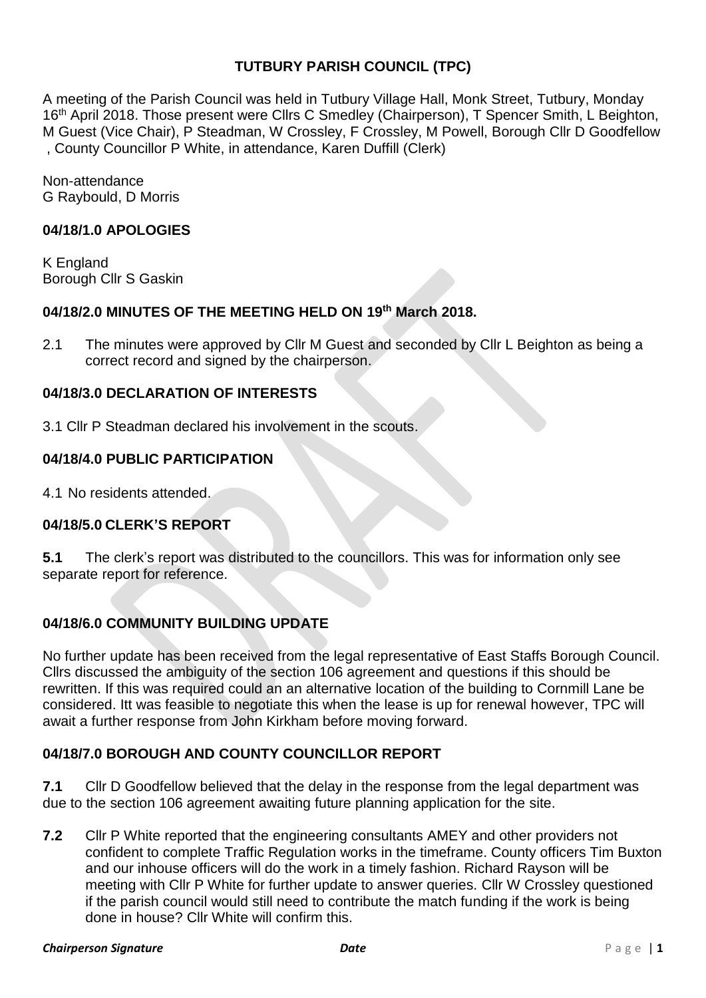# **TUTBURY PARISH COUNCIL (TPC)**

A meeting of the Parish Council was held in Tutbury Village Hall, Monk Street, Tutbury, Monday 16<sup>th</sup> April 2018. Those present were Cllrs C Smedley (Chairperson), T Spencer Smith, L Beighton, M Guest (Vice Chair), P Steadman, W Crossley, F Crossley, M Powell, Borough Cllr D Goodfellow , County Councillor P White, in attendance, Karen Duffill (Clerk)

Non-attendance G Raybould, D Morris

#### **04/18/1.0 APOLOGIES**

K England Borough Cllr S Gaskin

## **04/18/2.0 MINUTES OF THE MEETING HELD ON 19 th March 2018.**

2.1 The minutes were approved by Cllr M Guest and seconded by Cllr L Beighton as being a correct record and signed by the chairperson.

## **04/18/3.0 DECLARATION OF INTERESTS**

3.1 Cllr P Steadman declared his involvement in the scouts.

## **04/18/4.0 PUBLIC PARTICIPATION**

4.1 No residents attended.

# **04/18/5.0 CLERK'S REPORT**

**5.1** The clerk's report was distributed to the councillors. This was for information only see separate report for reference.

# **04/18/6.0 COMMUNITY BUILDING UPDATE**

No further update has been received from the legal representative of East Staffs Borough Council. Cllrs discussed the ambiguity of the section 106 agreement and questions if this should be rewritten. If this was required could an an alternative location of the building to Cornmill Lane be considered. Itt was feasible to negotiate this when the lease is up for renewal however, TPC will await a further response from John Kirkham before moving forward.

## **04/18/7.0 BOROUGH AND COUNTY COUNCILLOR REPORT**

**7.1** Cllr D Goodfellow believed that the delay in the response from the legal department was due to the section 106 agreement awaiting future planning application for the site.

**7.2** Cllr P White reported that the engineering consultants AMEY and other providers not confident to complete Traffic Regulation works in the timeframe. County officers Tim Buxton and our inhouse officers will do the work in a timely fashion. Richard Rayson will be meeting with Cllr P White for further update to answer queries. Cllr W Crossley questioned if the parish council would still need to contribute the match funding if the work is being done in house? Cllr White will confirm this.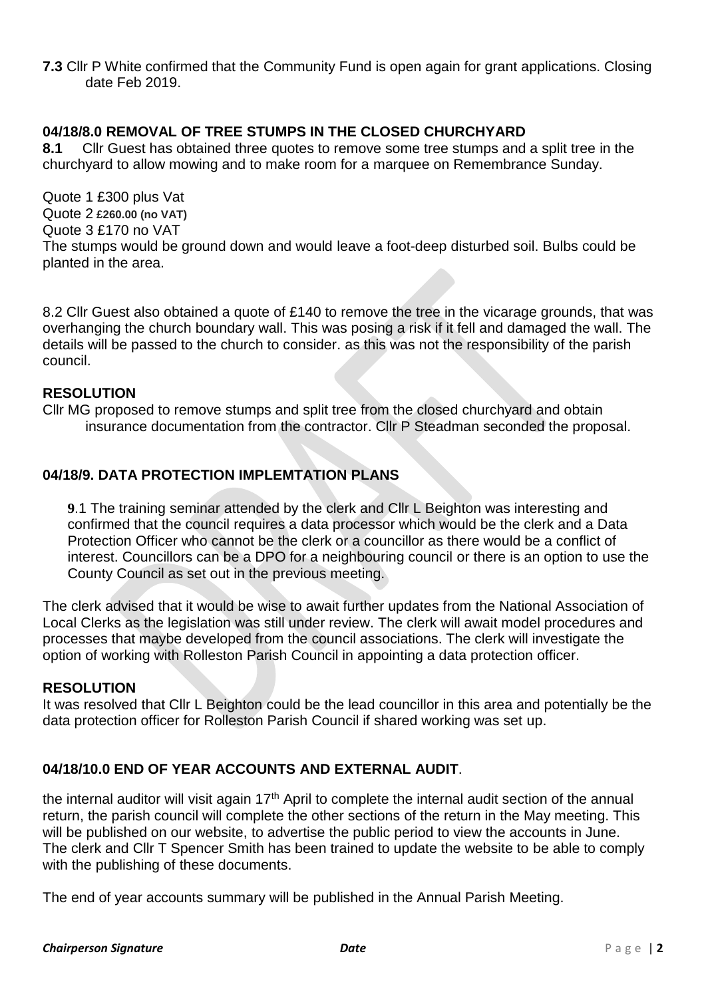**7.3** Cllr P White confirmed that the Community Fund is open again for grant applications. Closing date Feb 2019.

## **04/18/8.0 REMOVAL OF TREE STUMPS IN THE CLOSED CHURCHYARD**

**8.1** Cllr Guest has obtained three quotes to remove some tree stumps and a split tree in the churchyard to allow mowing and to make room for a marquee on Remembrance Sunday.

Quote 1 £300 plus Vat Quote 2 **£260.00 (no VAT)** Quote 3 £170 no VAT The stumps would be ground down and would leave a foot-deep disturbed soil. Bulbs could be planted in the area.

8.2 Cllr Guest also obtained a quote of £140 to remove the tree in the vicarage grounds, that was overhanging the church boundary wall. This was posing a risk if it fell and damaged the wall. The details will be passed to the church to consider. as this was not the responsibility of the parish council.

## **RESOLUTION**

Cllr MG proposed to remove stumps and split tree from the closed churchyard and obtain insurance documentation from the contractor. Cllr P Steadman seconded the proposal.

# **04/18/9. DATA PROTECTION IMPLEMTATION PLANS**

**9**.1 The training seminar attended by the clerk and Cllr L Beighton was interesting and confirmed that the council requires a data processor which would be the clerk and a Data Protection Officer who cannot be the clerk or a councillor as there would be a conflict of interest. Councillors can be a DPO for a neighbouring council or there is an option to use the County Council as set out in the previous meeting.

The clerk advised that it would be wise to await further updates from the National Association of Local Clerks as the legislation was still under review. The clerk will await model procedures and processes that maybe developed from the council associations. The clerk will investigate the option of working with Rolleston Parish Council in appointing a data protection officer.

## **RESOLUTION**

It was resolved that Cllr L Beighton could be the lead councillor in this area and potentially be the data protection officer for Rolleston Parish Council if shared working was set up.

# **04/18/10.0 END OF YEAR ACCOUNTS AND EXTERNAL AUDIT**.

the internal auditor will visit again  $17<sup>th</sup>$  April to complete the internal audit section of the annual return, the parish council will complete the other sections of the return in the May meeting. This will be published on our website, to advertise the public period to view the accounts in June. The clerk and Cllr T Spencer Smith has been trained to update the website to be able to comply with the publishing of these documents.

The end of year accounts summary will be published in the Annual Parish Meeting.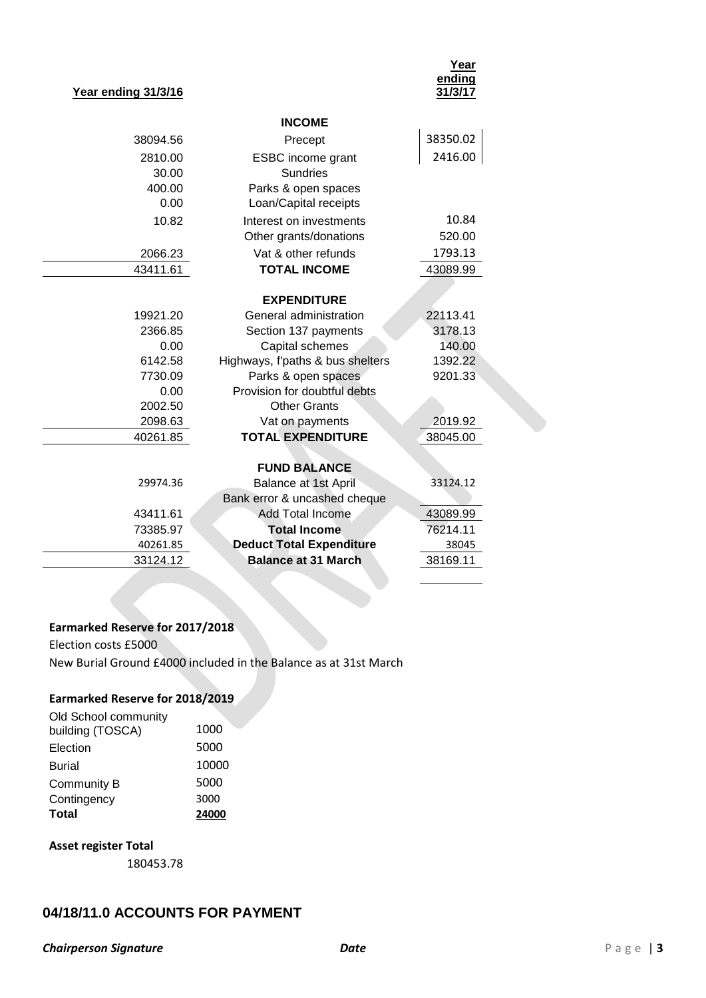#### **Year ending 31/3/16**

| Year    |
|---------|
| ending  |
| 31/3/17 |

|          | <b>INCOME</b>                    |          |  |  |
|----------|----------------------------------|----------|--|--|
| 38094.56 | Precept                          | 38350.02 |  |  |
| 2810.00  | <b>ESBC</b> income grant         | 2416.00  |  |  |
| 30.00    | <b>Sundries</b>                  |          |  |  |
| 400.00   | Parks & open spaces              |          |  |  |
| 0.00     | Loan/Capital receipts            |          |  |  |
| 10.82    | 10.84<br>Interest on investments |          |  |  |
|          | Other grants/donations           | 520.00   |  |  |
| 2066.23  | Vat & other refunds              | 1793.13  |  |  |
| 43411.61 | <b>TOTAL INCOME</b>              | 43089.99 |  |  |
|          |                                  |          |  |  |
|          | <b>EXPENDITURE</b>               |          |  |  |
| 19921.20 | General administration           | 22113.41 |  |  |
| 2366.85  | Section 137 payments             | 3178.13  |  |  |
| 0.00     | Capital schemes                  | 140.00   |  |  |
| 6142.58  | Highways, f'paths & bus shelters | 1392.22  |  |  |
| 7730.09  | Parks & open spaces              | 9201.33  |  |  |
| 0.00     | Provision for doubtful debts     |          |  |  |
| 2002.50  | <b>Other Grants</b>              |          |  |  |
| 2098.63  | Vat on payments                  | 2019.92  |  |  |
| 40261.85 | <b>TOTAL EXPENDITURE</b>         | 38045.00 |  |  |
|          |                                  |          |  |  |
|          | <b>FUND BALANCE</b>              |          |  |  |
| 29974.36 | Balance at 1st April             | 33124.12 |  |  |
|          | Bank error & uncashed cheque     |          |  |  |
| 43411.61 | <b>Add Total Income</b>          | 43089.99 |  |  |
| 73385.97 | <b>Total Income</b>              | 76214.11 |  |  |
| 40261.85 | <b>Deduct Total Expenditure</b>  | 38045    |  |  |
| 33124.12 | <b>Balance at 31 March</b>       | 38169.11 |  |  |
|          |                                  |          |  |  |

#### **Earmarked Reserve for 2017/2018**

Election costs £5000 New Burial Ground £4000 included in the Balance as at 31st March

#### **Earmarked Reserve for 2018/2019**

| Old School community |       |
|----------------------|-------|
| building (TOSCA)     | 1000  |
| Election             | 5000  |
| Burial               | 10000 |
| Community B          | 5000  |
| Contingency          | 3000  |
| Total                | 24000 |

#### **Asset register Total**

180453.78

## **04/18/11.0 ACCOUNTS FOR PAYMENT**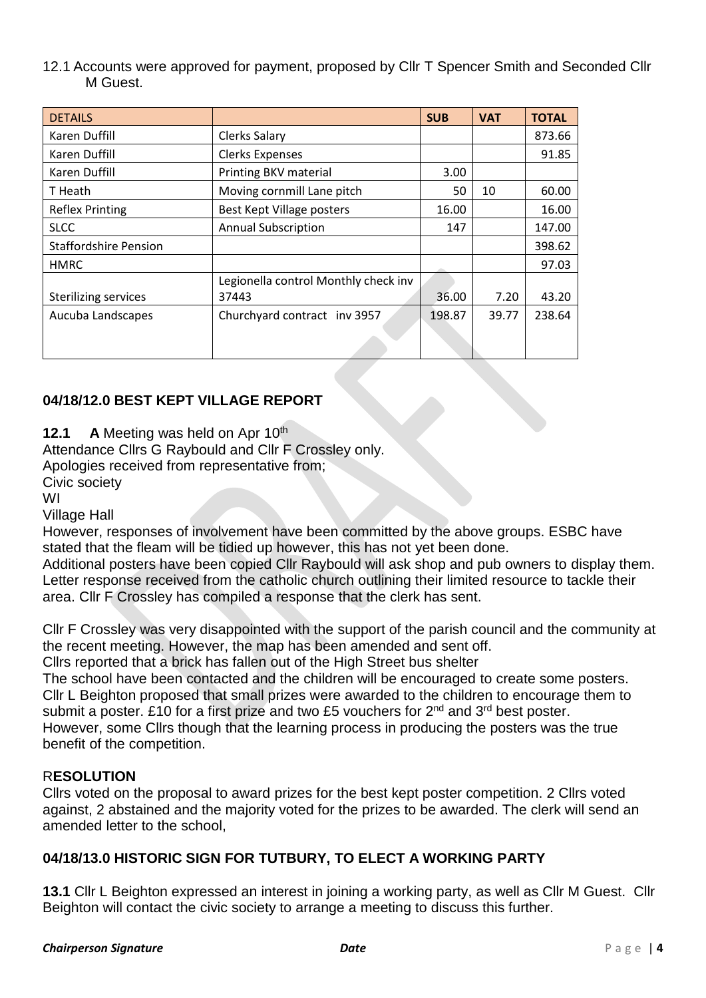12.1 Accounts were approved for payment, proposed by Cllr T Spencer Smith and Seconded Cllr M Guest.

| <b>DETAILS</b>               |                                      | <b>SUB</b> | <b>VAT</b> | <b>TOTAL</b> |
|------------------------------|--------------------------------------|------------|------------|--------------|
| Karen Duffill                | Clerks Salary                        |            |            | 873.66       |
| Karen Duffill                | <b>Clerks Expenses</b>               |            |            | 91.85        |
| Karen Duffill                | Printing BKV material                | 3.00       |            |              |
| T Heath                      | Moving cornmill Lane pitch           | 50         | 10         | 60.00        |
| <b>Reflex Printing</b>       | Best Kept Village posters            | 16.00      |            | 16.00        |
| <b>SLCC</b>                  | <b>Annual Subscription</b>           | 147        |            | 147.00       |
| <b>Staffordshire Pension</b> |                                      |            |            | 398.62       |
| <b>HMRC</b>                  |                                      |            |            | 97.03        |
|                              | Legionella control Monthly check inv |            |            |              |
| <b>Sterilizing services</b>  | 37443                                | 36.00      | 7.20       | 43.20        |
| Aucuba Landscapes            | Churchyard contract inv 3957         | 198.87     | 39.77      | 238.64       |
|                              |                                      |            |            |              |

# **04/18/12.0 BEST KEPT VILLAGE REPORT**

**12.1 A** Meeting was held on Apr 10<sup>th</sup>

Attendance Cllrs G Raybould and Cllr F Crossley only.

Apologies received from representative from;

Civic society

WI

Village Hall

However, responses of involvement have been committed by the above groups. ESBC have stated that the fleam will be tidied up however, this has not yet been done.

Additional posters have been copied Cllr Raybould will ask shop and pub owners to display them. Letter response received from the catholic church outlining their limited resource to tackle their area. Cllr F Crossley has compiled a response that the clerk has sent.

Cllr F Crossley was very disappointed with the support of the parish council and the community at the recent meeting. However, the map has been amended and sent off.

Cllrs reported that a brick has fallen out of the High Street bus shelter

The school have been contacted and the children will be encouraged to create some posters. Cllr L Beighton proposed that small prizes were awarded to the children to encourage them to submit a poster. £10 for a first prize and two £5 vouchers for 2<sup>nd</sup> and 3<sup>rd</sup> best poster.

However, some Cllrs though that the learning process in producing the posters was the true benefit of the competition.

# R**ESOLUTION**

Cllrs voted on the proposal to award prizes for the best kept poster competition. 2 Cllrs voted against, 2 abstained and the majority voted for the prizes to be awarded. The clerk will send an amended letter to the school,

# **04/18/13.0 HISTORIC SIGN FOR TUTBURY, TO ELECT A WORKING PARTY**

**13.1** Cllr L Beighton expressed an interest in joining a working party, as well as Cllr M Guest. Cllr Beighton will contact the civic society to arrange a meeting to discuss this further.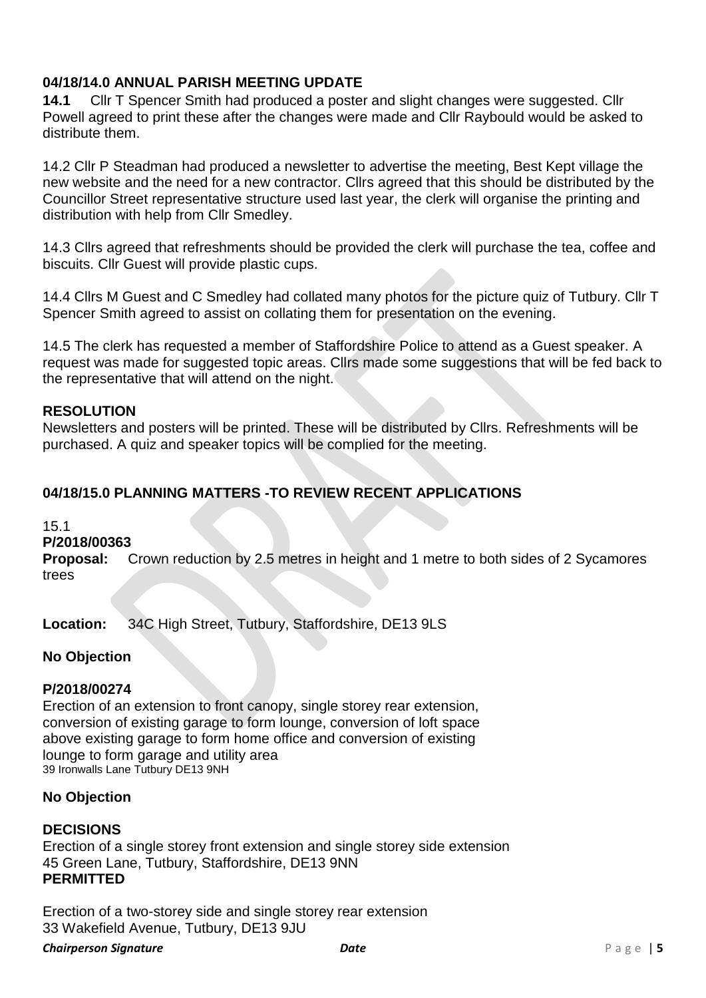# **04/18/14.0 ANNUAL PARISH MEETING UPDATE**

**14.1** Cllr T Spencer Smith had produced a poster and slight changes were suggested. Cllr Powell agreed to print these after the changes were made and Cllr Raybould would be asked to distribute them.

14.2 Cllr P Steadman had produced a newsletter to advertise the meeting, Best Kept village the new website and the need for a new contractor. Cllrs agreed that this should be distributed by the Councillor Street representative structure used last year, the clerk will organise the printing and distribution with help from Cllr Smedley.

14.3 Cllrs agreed that refreshments should be provided the clerk will purchase the tea, coffee and biscuits. Cllr Guest will provide plastic cups.

14.4 Cllrs M Guest and C Smedley had collated many photos for the picture quiz of Tutbury. Cllr T Spencer Smith agreed to assist on collating them for presentation on the evening.

14.5 The clerk has requested a member of Staffordshire Police to attend as a Guest speaker. A request was made for suggested topic areas. Cllrs made some suggestions that will be fed back to the representative that will attend on the night.

## **RESOLUTION**

Newsletters and posters will be printed. These will be distributed by Cllrs. Refreshments will be purchased. A quiz and speaker topics will be complied for the meeting.

# **04/18/15.0 PLANNING MATTERS -TO REVIEW RECENT APPLICATIONS**

#### 15.1

#### **P/2018/00363**

**Proposal:** Crown reduction by 2.5 metres in height and 1 metre to both sides of 2 Sycamores trees

**Location:** 34C High Street, Tutbury, Staffordshire, DE13 9LS

## **No Objection**

## **P/2018/00274**

Erection of an extension to front canopy, single storey rear extension, conversion of existing garage to form lounge, conversion of loft space above existing garage to form home office and conversion of existing lounge to form garage and utility area 39 Ironwalls Lane Tutbury DE13 9NH

## **No Objection**

## **DECISIONS**

Erection of a single storey front extension and single storey side extension 45 Green Lane, Tutbury, Staffordshire, DE13 9NN **PERMITTED**

Erection of a two-storey side and single storey rear extension 33 Wakefield Avenue, Tutbury, DE13 9JU

#### *Chairperson Signature Date* P a g e | **5**